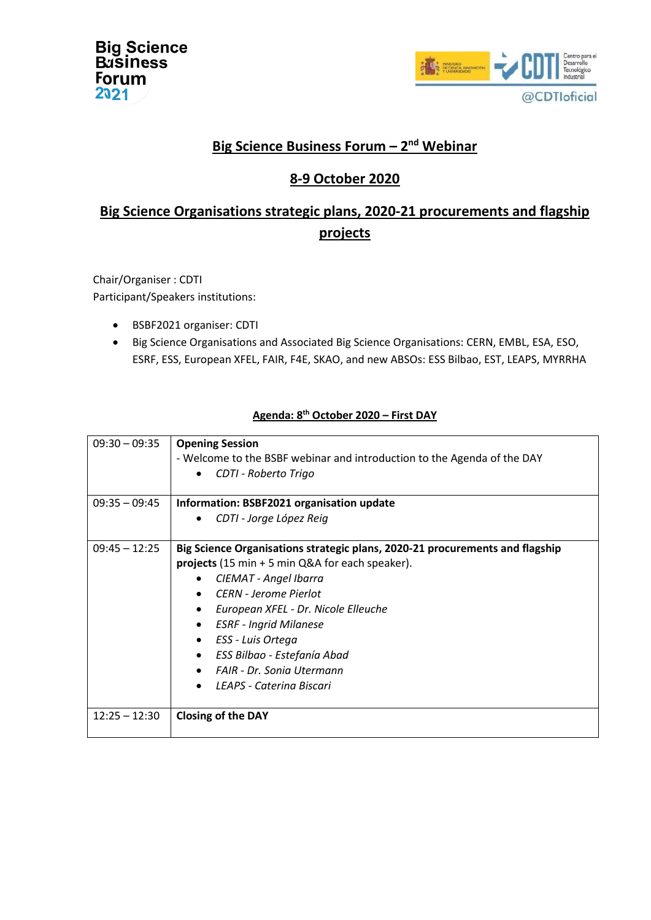| <b>Big Science</b><br><b>B</b> usiness |
|----------------------------------------|
| Forum<br>2021                          |



## **Big Science Business Forum – 2 nd Webinar**

## **8-9 October 2020**

# **Big Science Organisations strategic plans, 2020-21 procurements and flagship projects**

Chair/Organiser : CDTI Participant/Speakers institutions:

- BSBF2021 organiser: CDTI
- Big Science Organisations and Associated Big Science Organisations: CERN, EMBL, ESA, ESO, ESRF, ESS, European XFEL, FAIR, F4E, SKAO, and new ABSOs: ESS Bilbao, EST, LEAPS, MYRRHA

| $09:30 - 09:35$ | <b>Opening Session</b><br>- Welcome to the BSBF webinar and introduction to the Agenda of the DAY<br>CDTI - Roberto Trigo<br>$\bullet$                                                                                                                                                                                                                                                                                              |
|-----------------|-------------------------------------------------------------------------------------------------------------------------------------------------------------------------------------------------------------------------------------------------------------------------------------------------------------------------------------------------------------------------------------------------------------------------------------|
| $09:35 - 09:45$ | Information: BSBF2021 organisation update<br>CDTI - Jorge López Reig<br>$\bullet$                                                                                                                                                                                                                                                                                                                                                   |
| $09:45 - 12:25$ | Big Science Organisations strategic plans, 2020-21 procurements and flagship<br><b>projects</b> (15 min $+$ 5 min Q&A for each speaker).<br>CIEMAT - Angel Ibarra<br>CERN - Jerome Pierlot<br>$\bullet$<br>European XFEL - Dr. Nicole Elleuche<br><b>ESRF</b> - Ingrid Milanese<br>$\bullet$<br>ESS - Luis Ortega<br>$\bullet$<br>ESS Bilbao - Estefanía Abad<br>$\bullet$<br>FAIR - Dr. Sonia Utermann<br>LEAPS - Caterina Biscari |
| $12:25 - 12:30$ | <b>Closing of the DAY</b>                                                                                                                                                                                                                                                                                                                                                                                                           |

### **Agenda: 8 th October 2020 – First DAY**